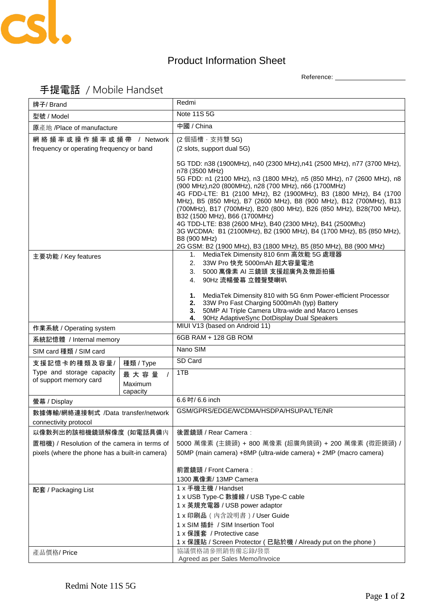

## Product Information Sheet

Reference: \_\_\_\_\_\_\_\_\_\_\_\_\_\_\_\_\_\_

| 牌子/ Brand                                           |                                         | Redmi                                                                                                                                                                                                                                                                                                                                                                                                                                                                                                                                                                                                                            |
|-----------------------------------------------------|-----------------------------------------|----------------------------------------------------------------------------------------------------------------------------------------------------------------------------------------------------------------------------------------------------------------------------------------------------------------------------------------------------------------------------------------------------------------------------------------------------------------------------------------------------------------------------------------------------------------------------------------------------------------------------------|
| 型號 / Model                                          |                                         | <b>Note 11S 5G</b>                                                                                                                                                                                                                                                                                                                                                                                                                                                                                                                                                                                                               |
| 原產地 /Place of manufacture                           |                                         | 中國 / China                                                                                                                                                                                                                                                                                                                                                                                                                                                                                                                                                                                                                       |
| 網 絡 頻 率 或 操 作 頻 率 或 頻 帶 / Network                   |                                         | (2 個插槽, 支持雙 5G)                                                                                                                                                                                                                                                                                                                                                                                                                                                                                                                                                                                                                  |
| frequency or operating frequency or band            |                                         | (2 slots, support dual 5G)                                                                                                                                                                                                                                                                                                                                                                                                                                                                                                                                                                                                       |
|                                                     |                                         | 5G TDD: n38 (1900MHz), n40 (2300 MHz), n41 (2500 MHz), n77 (3700 MHz),<br>n78 (3500 MHz)<br>5G FDD: n1 (2100 MHz), n3 (1800 MHz), n5 (850 MHz), n7 (2600 MHz), n8<br>(900 MHz), n20 (800MHz), n28 (700 MHz), n66 (1700MHz)<br>4G FDD-LTE: B1 (2100 MHz), B2 (1900MHz), B3 (1800 MHz), B4 (1700<br>MHz), B5 (850 MHz), B7 (2600 MHz), B8 (900 MHz), B12 (700MHz), B13<br>(700MHz), B17 (700MHz), B20 (800 MHz), B26 (850 MHz), B28(700 MHz),<br>B32 (1500 MHz), B66 (1700MHz)<br>4G TDD-LTE: B38 (2600 MHz), B40 (2300 MHz), B41 (2500Mhz)<br>3G WCDMA: B1 (2100MHz), B2 (1900 MHz), B4 (1700 MHz), B5 (850 MHz),<br>B8 (900 MHz) |
| 主要功能 / Key features                                 |                                         | 2G GSM: B2 (1900 MHz), B3 (1800 MHz), B5 (850 MHz), B8 (900 MHz)<br>1. MediaTek Dimensity 810 6nm 高效能 5G 處理器<br>33W Pro 快充 5000mAh 超大容量電池<br>2.<br>3. 5000 萬像素 AI 三鏡頭 支援超廣角及微距拍攝<br>4. 90Hz 流暢螢幕 立體聲雙喇叭<br>1. MediaTek Dimensity 810 with 5G 6nm Power-efficient Processor<br>2. 33W Pro Fast Charging 5000mAh (typ) Battery<br>50MP AI Triple Camera Ultra-wide and Macro Lenses<br>3.<br>90Hz AdaptiveSync DotDisplay Dual Speakers<br>4.                                                                                                                                                                                      |
| 作業系統 / Operating system                             |                                         | MIUI V13 (based on Android 11)                                                                                                                                                                                                                                                                                                                                                                                                                                                                                                                                                                                                   |
| 系統記憶體 / Internal memory                             |                                         | 6GB RAM + 128 GB ROM                                                                                                                                                                                                                                                                                                                                                                                                                                                                                                                                                                                                             |
| SIM card 種類 / SIM card                              |                                         | Nano SIM                                                                                                                                                                                                                                                                                                                                                                                                                                                                                                                                                                                                                         |
| 支援記憶卡的種類及容量/                                        | 種類 / Type                               | SD Card                                                                                                                                                                                                                                                                                                                                                                                                                                                                                                                                                                                                                          |
| Type and storage capacity<br>of support memory card | 最大容量<br>$\prime$<br>Maximum<br>capacity | 1TB                                                                                                                                                                                                                                                                                                                                                                                                                                                                                                                                                                                                                              |
| 螢幕 / Display                                        |                                         | 6.6 吋/ 6.6 inch                                                                                                                                                                                                                                                                                                                                                                                                                                                                                                                                                                                                                  |
| 數據傳輸/網絡連接制式 /Data transfer/network                  |                                         | GSM/GPRS/EDGE/WCDMA/HSDPA/HSUPA/LTE/NR                                                                                                                                                                                                                                                                                                                                                                                                                                                                                                                                                                                           |
| connectivity protocol                               |                                         |                                                                                                                                                                                                                                                                                                                                                                                                                                                                                                                                                                                                                                  |
| 以像數列出的該相機鏡頭解像度 (如電話具備內                              |                                         | 後置鏡頭 / Rear Camera:                                                                                                                                                                                                                                                                                                                                                                                                                                                                                                                                                                                                              |
| 置相機) / Resolution of the camera in terms of         |                                         | 5000 萬像素 (主鏡頭) + 800 萬像素 (超廣角鏡頭) + 200 萬像素 (微距鏡頭) /                                                                                                                                                                                                                                                                                                                                                                                                                                                                                                                                                                              |
| pixels (where the phone has a built-in camera)      |                                         | 50MP (main camera) +8MP (ultra-wide camera) + 2MP (macro camera)                                                                                                                                                                                                                                                                                                                                                                                                                                                                                                                                                                 |
|                                                     |                                         | 前置鏡頭 / Front Camera:<br>1300 萬像素/ 13MP Camera                                                                                                                                                                                                                                                                                                                                                                                                                                                                                                                                                                                    |
| 配套 / Packaging List                                 |                                         | 1 x 手機主機 / Handset<br>1 x USB Type-C 數據線 / USB Type-C cable<br>1 x 英規充電器 / USB power adaptor<br>1 x 印刷品 (内含說明書) / User Guide<br>1 x SIM 插針 / SIM Insertion Tool<br>1 x 保護套 / Protective case                                                                                                                                                                                                                                                                                                                                                                                                                                     |
| 產品價格/Price                                          |                                         | 1 x 保護貼 / Screen Protector ( 已貼於機 / Already put on the phone )<br>協議價格請參照銷售備忘錄/發票                                                                                                                                                                                                                                                                                                                                                                                                                                                                                                                                                |
|                                                     |                                         | Agreed as per Sales Memo/Invoice                                                                                                                                                                                                                                                                                                                                                                                                                                                                                                                                                                                                 |

## 手提電話 / Mobile Handset